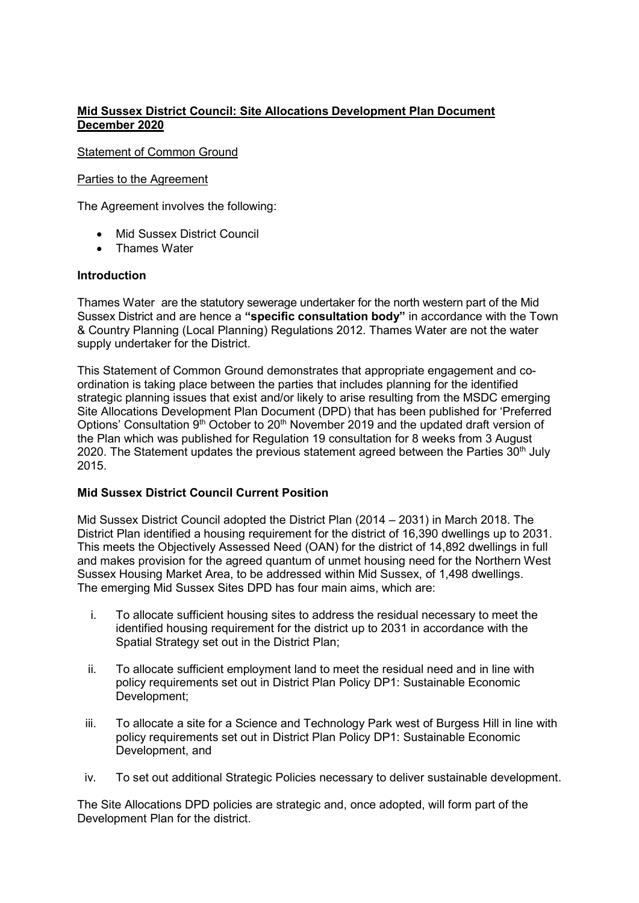# Mid Sussex District Council: Site Allocations Development Plan Document December 2020

### Statement of Common Ground

#### Parties to the Agreement

The Agreement involves the following:

- Mid Sussex District Council
- **•** Thames Water

## Introduction

Thames Water are the statutory sewerage undertaker for the north western part of the Mid Sussex District and are hence a "specific consultation body" in accordance with the Town & Country Planning (Local Planning) Regulations 2012. Thames Water are not the water supply undertaker for the District.

This Statement of Common Ground demonstrates that appropriate engagement and coordination is taking place between the parties that includes planning for the identified strategic planning issues that exist and/or likely to arise resulting from the MSDC emerging Site Allocations Development Plan Document (DPD) that has been published for 'Preferred Options' Consultation 9<sup>th</sup> October to 20<sup>th</sup> November 2019 and the updated draft version of the Plan which was published for Regulation 19 consultation for 8 weeks from 3 August 2020. The Statement updates the previous statement agreed between the Parties  $30<sup>th</sup>$  July 2015.

## Mid Sussex District Council Current Position

Mid Sussex District Council adopted the District Plan (2014 – 2031) in March 2018. The District Plan identified a housing requirement for the district of 16,390 dwellings up to 2031. This meets the Objectively Assessed Need (OAN) for the district of 14,892 dwellings in full and makes provision for the agreed quantum of unmet housing need for the Northern West Sussex Housing Market Area, to be addressed within Mid Sussex, of 1,498 dwellings. The emerging Mid Sussex Sites DPD has four main aims, which are:

- i. To allocate sufficient housing sites to address the residual necessary to meet the identified housing requirement for the district up to 2031 in accordance with the Spatial Strategy set out in the District Plan;
- ii. To allocate sufficient employment land to meet the residual need and in line with policy requirements set out in District Plan Policy DP1: Sustainable Economic Development;
- iii. To allocate a site for a Science and Technology Park west of Burgess Hill in line with policy requirements set out in District Plan Policy DP1: Sustainable Economic Development, and
- iv. To set out additional Strategic Policies necessary to deliver sustainable development.

The Site Allocations DPD policies are strategic and, once adopted, will form part of the Development Plan for the district.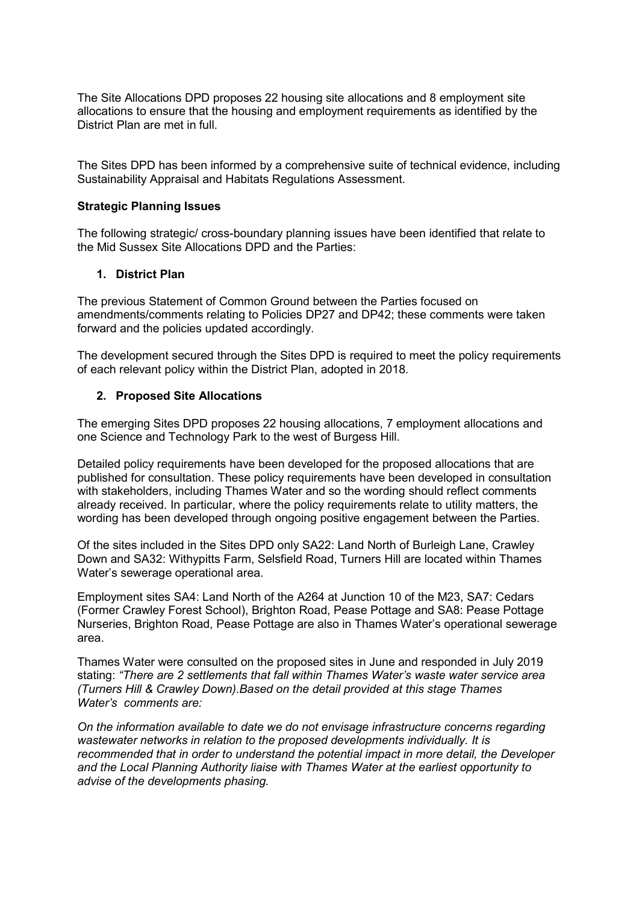The Site Allocations DPD proposes 22 housing site allocations and 8 employment site allocations to ensure that the housing and employment requirements as identified by the District Plan are met in full.

The Sites DPD has been informed by a comprehensive suite of technical evidence, including Sustainability Appraisal and Habitats Regulations Assessment.

#### Strategic Planning Issues

The following strategic/ cross-boundary planning issues have been identified that relate to the Mid Sussex Site Allocations DPD and the Parties:

#### 1. District Plan

The previous Statement of Common Ground between the Parties focused on amendments/comments relating to Policies DP27 and DP42; these comments were taken forward and the policies updated accordingly.

The development secured through the Sites DPD is required to meet the policy requirements of each relevant policy within the District Plan, adopted in 2018.

#### 2. Proposed Site Allocations

The emerging Sites DPD proposes 22 housing allocations, 7 employment allocations and one Science and Technology Park to the west of Burgess Hill.

Detailed policy requirements have been developed for the proposed allocations that are published for consultation. These policy requirements have been developed in consultation with stakeholders, including Thames Water and so the wording should reflect comments already received. In particular, where the policy requirements relate to utility matters, the wording has been developed through ongoing positive engagement between the Parties.

Of the sites included in the Sites DPD only SA22: Land North of Burleigh Lane, Crawley Down and SA32: Withypitts Farm, Selsfield Road, Turners Hill are located within Thames Water's sewerage operational area.

Employment sites SA4: Land North of the A264 at Junction 10 of the M23, SA7: Cedars (Former Crawley Forest School), Brighton Road, Pease Pottage and SA8: Pease Pottage Nurseries, Brighton Road, Pease Pottage are also in Thames Water's operational sewerage area.

Thames Water were consulted on the proposed sites in June and responded in July 2019 stating: "There are 2 settlements that fall within Thames Water's waste water service area (Turners Hill & Crawley Down).Based on the detail provided at this stage Thames Water's comments are:

On the information available to date we do not envisage infrastructure concerns regarding wastewater networks in relation to the proposed developments individually. It is recommended that in order to understand the potential impact in more detail, the Developer and the Local Planning Authority liaise with Thames Water at the earliest opportunity to advise of the developments phasing.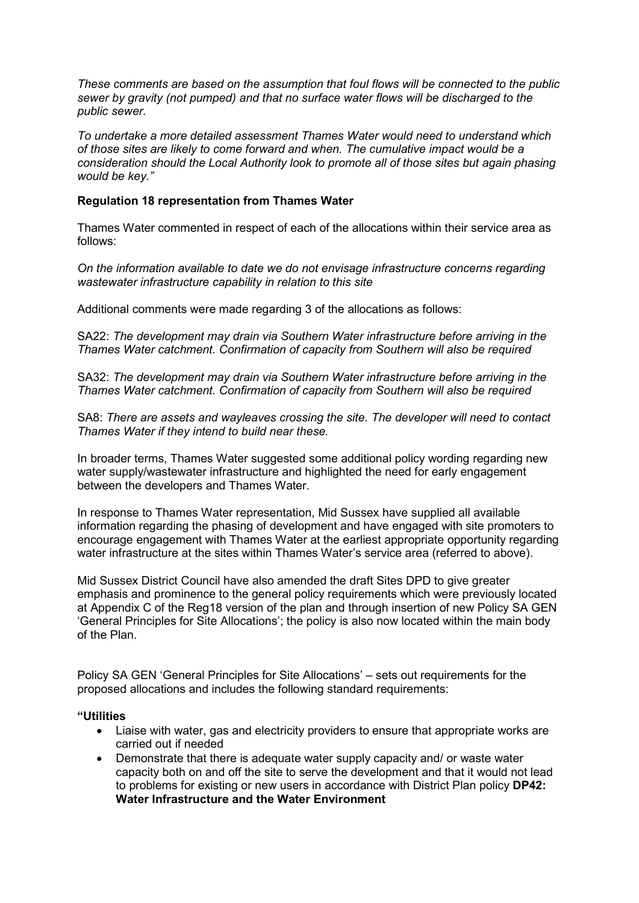These comments are based on the assumption that foul flows will be connected to the public sewer by gravity (not pumped) and that no surface water flows will be discharged to the public sewer.

To undertake a more detailed assessment Thames Water would need to understand which of those sites are likely to come forward and when. The cumulative impact would be a consideration should the Local Authority look to promote all of those sites but again phasing would be key."

### Regulation 18 representation from Thames Water

Thames Water commented in respect of each of the allocations within their service area as follows:

On the information available to date we do not envisage infrastructure concerns regarding wastewater infrastructure capability in relation to this site

Additional comments were made regarding 3 of the allocations as follows:

SA22: The development may drain via Southern Water infrastructure before arriving in the Thames Water catchment. Confirmation of capacity from Southern will also be required

SA32: The development may drain via Southern Water infrastructure before arriving in the Thames Water catchment. Confirmation of capacity from Southern will also be required

SA8: There are assets and wayleaves crossing the site. The developer will need to contact Thames Water if they intend to build near these.

In broader terms, Thames Water suggested some additional policy wording regarding new water supply/wastewater infrastructure and highlighted the need for early engagement between the developers and Thames Water.

In response to Thames Water representation, Mid Sussex have supplied all available information regarding the phasing of development and have engaged with site promoters to encourage engagement with Thames Water at the earliest appropriate opportunity regarding water infrastructure at the sites within Thames Water's service area (referred to above).

Mid Sussex District Council have also amended the draft Sites DPD to give greater emphasis and prominence to the general policy requirements which were previously located at Appendix C of the Reg18 version of the plan and through insertion of new Policy SA GEN 'General Principles for Site Allocations'; the policy is also now located within the main body of the Plan.

Policy SA GEN 'General Principles for Site Allocations' – sets out requirements for the proposed allocations and includes the following standard requirements:

#### "Utilities

- Liaise with water, gas and electricity providers to ensure that appropriate works are carried out if needed
- Demonstrate that there is adequate water supply capacity and/ or waste water capacity both on and off the site to serve the development and that it would not lead to problems for existing or new users in accordance with District Plan policy DP42: Water Infrastructure and the Water Environment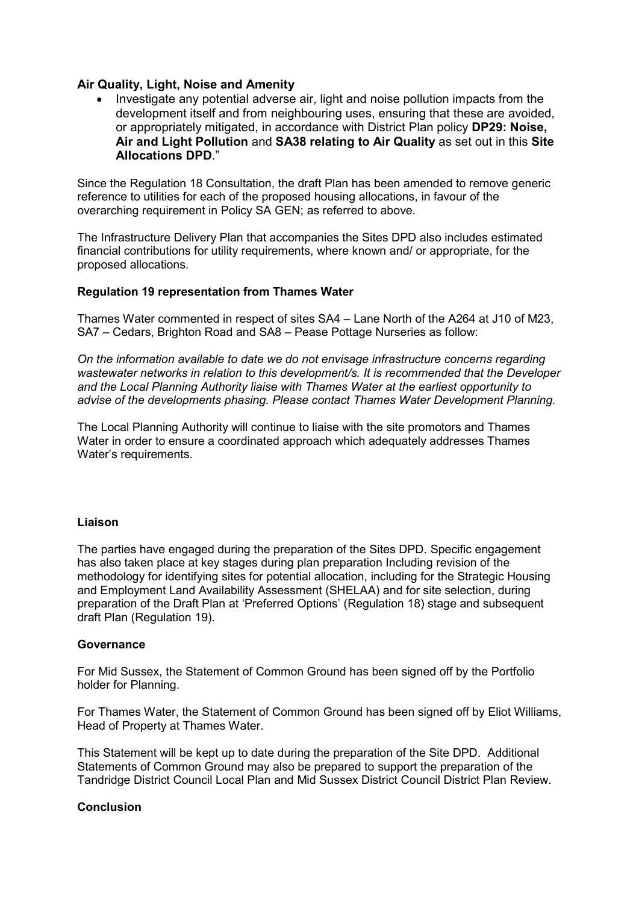## Air Quality, Light, Noise and Amenity

 Investigate any potential adverse air, light and noise pollution impacts from the development itself and from neighbouring uses, ensuring that these are avoided, or appropriately mitigated, in accordance with District Plan policy DP29: Noise, Air and Light Pollution and SA38 relating to Air Quality as set out in this Site Allocations DPD."

Since the Regulation 18 Consultation, the draft Plan has been amended to remove generic reference to utilities for each of the proposed housing allocations, in favour of the overarching requirement in Policy SA GEN; as referred to above.

The Infrastructure Delivery Plan that accompanies the Sites DPD also includes estimated financial contributions for utility requirements, where known and/ or appropriate, for the proposed allocations.

## Regulation 19 representation from Thames Water

Thames Water commented in respect of sites SA4 – Lane North of the A264 at J10 of M23, SA7 – Cedars, Brighton Road and SA8 – Pease Pottage Nurseries as follow:

On the information available to date we do not envisage infrastructure concerns regarding wastewater networks in relation to this development/s. It is recommended that the Developer and the Local Planning Authority liaise with Thames Water at the earliest opportunity to advise of the developments phasing. Please contact Thames Water Development Planning.

The Local Planning Authority will continue to liaise with the site promotors and Thames Water in order to ensure a coordinated approach which adequately addresses Thames Water's requirements.

## Liaison

The parties have engaged during the preparation of the Sites DPD. Specific engagement has also taken place at key stages during plan preparation Including revision of the methodology for identifying sites for potential allocation, including for the Strategic Housing and Employment Land Availability Assessment (SHELAA) and for site selection, during preparation of the Draft Plan at 'Preferred Options' (Regulation 18) stage and subsequent draft Plan (Regulation 19).

## **Governance**

For Mid Sussex, the Statement of Common Ground has been signed off by the Portfolio holder for Planning.

For Thames Water, the Statement of Common Ground has been signed off by Eliot Williams, Head of Property at Thames Water.

This Statement will be kept up to date during the preparation of the Site DPD. Additional Statements of Common Ground may also be prepared to support the preparation of the Tandridge District Council Local Plan and Mid Sussex District Council District Plan Review.

## Conclusion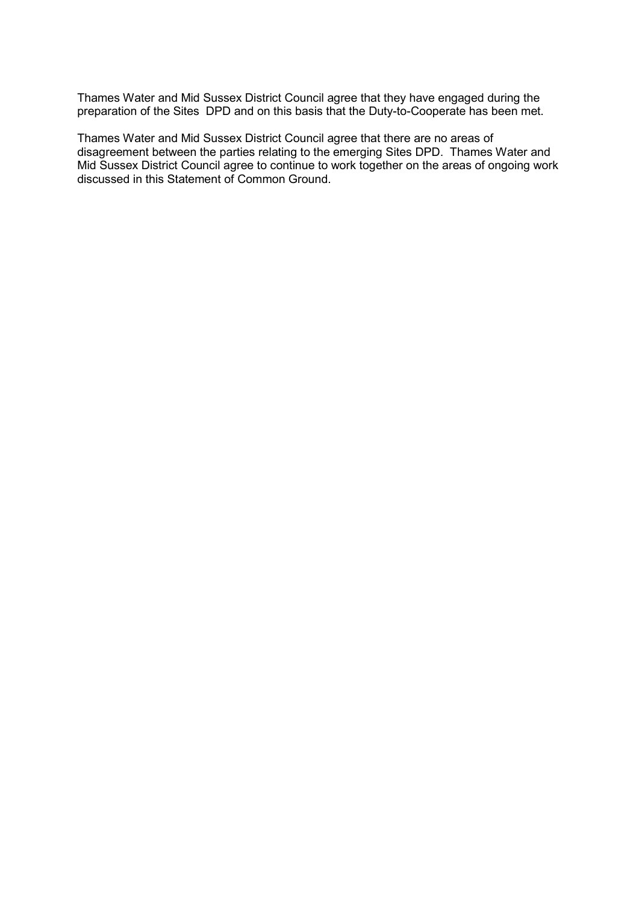Thames Water and Mid Sussex District Council agree that they have engaged during the preparation of the Sites DPD and on this basis that the Duty-to-Cooperate has been met.

Thames Water and Mid Sussex District Council agree that there are no areas of disagreement between the parties relating to the emerging Sites DPD. Thames Water and Mid Sussex District Council agree to continue to work together on the areas of ongoing work discussed in this Statement of Common Ground.